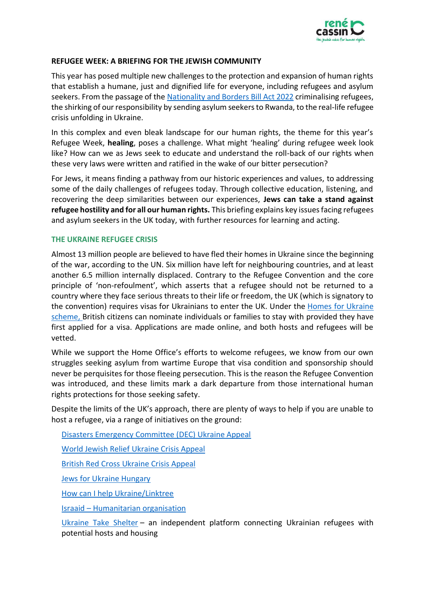

## **REFUGEE WEEK: A BRIEFING FOR THE JEWISH COMMUNITY**

This year has posed multiple new challenges to the protection and expansion of human rights that establish a humane, just and dignified life for everyone, including refugees and asylum seekers. From the passage of the [Nationality and Borders Bill Act 2022](https://bills.parliament.uk/bills/3023) criminalising refugees, the shirking of our responsibility by sending asylum seekers to Rwanda, to the real-life refugee crisis unfolding in Ukraine.

In this complex and even bleak landscape for our human rights, the theme for this year's Refugee Week, **healing**, poses a challenge. What might 'healing' during refugee week look like? How can we as Jews seek to educate and understand the roll-back of our rights when these very laws were written and ratified in the wake of our bitter persecution?

For Jews, it means finding a pathway from our historic experiences and values, to addressing some of the daily challenges of refugees today. Through collective education, listening, and recovering the deep similarities between our experiences, **Jews can take a stand against refugee hostility and for all our human rights.** This briefing explains key issues facing refugees and asylum seekers in the UK today, with further resources for learning and acting.

## **THE UKRAINE REFUGEE CRISIS**

Almost 13 million people are believed to have fled their homes in Ukraine since the beginning of the war, according to the UN. Six million have left for neighbouring countries, and at least another 6.5 million internally displaced. Contrary to the Refugee Convention and the core principle of 'non-refoulment', which asserts that a refugee should not be returned to a country where they face serious threats to their life or freedom, the UK (which is signatory to the convention) requires visas for Ukrainians to enter the UK. Under the [Homes for Ukraine](https://www.gov.uk/register-interest-homes-ukraine) scheme, British citizens can nominate individuals or families to stay with provided they have first applied for a visa. Applications are made online, and both hosts and refugees will be vetted.

While we support the Home Office's efforts to welcome refugees, we know from our own struggles seeking asylum from wartime Europe that visa condition and sponsorship should never be perquisites for those fleeing persecution. This is the reason the Refugee Convention was introduced, and these limits mark a dark departure from those international human rights protections for those seeking safety.

Despite the limits of the UK's approach, there are plenty of ways to help if you are unable to host a refugee, via a range of initiatives on the ground:

[Disasters Emergency Committee \(DEC\) Ukraine Appeal](https://www.dec.org.uk/?gclid=CjwKCAjw8sCRBhA6EiwA6_IF4S3N4nPNUnm-g3WazC7Ucsw3tiSXEAtv4o0oY7RAhp3M6A2OJW-QMRoCxX8QAvD_BwE)

[World Jewish Relief](https://eur01.safelinks.protection.outlook.com/?url=https%3A%2F%2Fwww.worldjewishrelief.org%2Fways-to-donate%2Fappeals%2F1267-ukraine-crisis-appeal%3Fgclid%3DCjwKCAjw8sCRBhA6EiwA6_IF4YpO-e5QkJIHU_voW440lcPnuwJW3UeQtPbFOq2fwSuU8ARzi0I66BoCqOIQAvD_BwE&data=04%7C01%7Cmia.hasenson-gross%40renecassin.org%7Cdf36ccfa08014d92412808da0664d9ee%7Cec309b0d1bb547b5bc394cf6177239b1%7C0%7C0%7C637829327476740913%7CUnknown%7CTWFpbGZsb3d8eyJWIjoiMC4wLjAwMDAiLCJQIjoiV2luMzIiLCJBTiI6Ik1haWwiLCJXVCI6Mn0%3D%7C3000&sdata=zYPuRtYIc82ka5gwp1OirgkRCQW7vpWwHngh6bgqfgA%3D&reserved=0) Ukraine Crisis Appeal

[British Red Cross](https://eur01.safelinks.protection.outlook.com/?url=https%3A%2F%2Fdonate.redcross.org.uk%2Fappeal%2Fukraine-crisis-appeal%3Fc_code%3D175151%26c_source%3Dgoogle%26c_name%3DUkraine%2520Crisis%2520Appeal%26adg%3D%26c_creative%3Dgeneric%26c_medium%3Dcpc%26gclid%3DCjwKCAjw8sCRBhA6EiwA6_IF4UDWsgzmwe4Q48yaJSc7_JhuCAZHjQXmhW8MdaJvr5tOGfvzR09GABoCEIQQAvD_BwE&data=04%7C01%7Cmia.hasenson-gross%40renecassin.org%7Cdf36ccfa08014d92412808da0664d9ee%7Cec309b0d1bb547b5bc394cf6177239b1%7C0%7C0%7C637829327476897734%7CUnknown%7CTWFpbGZsb3d8eyJWIjoiMC4wLjAwMDAiLCJQIjoiV2luMzIiLCJBTiI6Ik1haWwiLCJXVCI6Mn0%3D%7C3000&sdata=98px317oA2366uQzqYiwTuDZwln4n4bttZB5Ma1qF2Q%3D&reserved=0) Ukraine Crisis Appeal

[Jews for Ukraine Hungary](https://eur01.safelinks.protection.outlook.com/?url=http%3A%2F%2Fwww.jewsforukraine.hu%2F&data=04%7C01%7Cmia.hasenson-gross%40renecassin.org%7Cdf36ccfa08014d92412808da0664d9ee%7Cec309b0d1bb547b5bc394cf6177239b1%7C0%7C0%7C637829327476897734%7CUnknown%7CTWFpbGZsb3d8eyJWIjoiMC4wLjAwMDAiLCJQIjoiV2luMzIiLCJBTiI6Ik1haWwiLCJXVCI6Mn0%3D%7C3000&sdata=o0%2F6Wwxx0jCFS57Rj0iOzqm0qhuNIuOquFEpFMXYH58%3D&reserved=0)

[How can I help Ukraine/Linktree](https://eur01.safelinks.protection.outlook.com/?url=https%3A%2F%2Flinktr.ee%2Fvoiceforukraine&data=04%7C01%7Cmia.hasenson-gross%40renecassin.org%7Cdf36ccfa08014d92412808da0664d9ee%7Cec309b0d1bb547b5bc394cf6177239b1%7C0%7C0%7C637829327476897734%7CUnknown%7CTWFpbGZsb3d8eyJWIjoiMC4wLjAwMDAiLCJQIjoiV2luMzIiLCJBTiI6Ik1haWwiLCJXVCI6Mn0%3D%7C3000&sdata=tAPWsp%2BjxQmFcOu8IfSlNMY%2FYGrZ9bkopAaMVqti1aA%3D&reserved=0)

Israaid – [Humanitarian organisation](https://eur01.safelinks.protection.outlook.com/?url=https%3A%2F%2Fsecure.givelively.org%2Fdonate%2Fisraaid-us-global-humanitarian-assistance-inc%2Femergency-support-for-ukrainian-refugees%3Futm_source%3Dmoldovaukraineisraaidhomepage&data=04%7C01%7Cmia.hasenson-gross%40renecassin.org%7Cdf36ccfa08014d92412808da0664d9ee%7Cec309b0d1bb547b5bc394cf6177239b1%7C0%7C0%7C637829327476897734%7CUnknown%7CTWFpbGZsb3d8eyJWIjoiMC4wLjAwMDAiLCJQIjoiV2luMzIiLCJBTiI6Ik1haWwiLCJXVCI6Mn0%3D%7C3000&sdata=MPJP0mFLReTU4VTa8Ja3iWxAg8STCSUKVpqcPHXdbC8%3D&reserved=0)

[Ukraine Take Shelter](https://www.ukrainetakeshelter.com/) – an independent platform connecting Ukrainian refugees with potential hosts and housing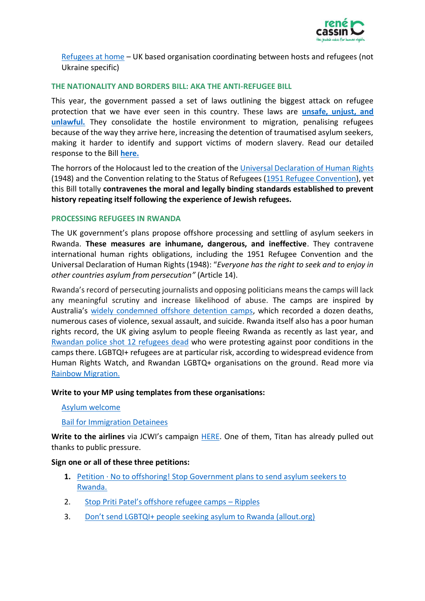

[Refugees at home](https://eur01.safelinks.protection.outlook.com/?url=https%3A%2F%2Fwww.refugeesathome.org%2F&data=04%7C01%7Cmia.hasenson-gross%40renecassin.org%7Cdf36ccfa08014d92412808da0664d9ee%7Cec309b0d1bb547b5bc394cf6177239b1%7C0%7C0%7C637829327476897734%7CUnknown%7CTWFpbGZsb3d8eyJWIjoiMC4wLjAwMDAiLCJQIjoiV2luMzIiLCJBTiI6Ik1haWwiLCJXVCI6Mn0%3D%7C3000&sdata=awy8wD8JwHl8cirdqvvth%2Bef0eMAucfjQpSBmZCRXMk%3D&reserved=0) – UK based organisation coordinating between hosts and refugees (not Ukraine specific)

## **THE NATIONALITY AND BORDERS BILL: AKA THE ANTI-REFUGEE BILL**

This year, the government passed a set of laws outlining the biggest attack on refugee protection that we have ever seen in this country. These laws are **[unsafe, unjust, and](https://www.refugee-action.org.uk/why-we-call-it-the-anti-refugee-bill/)  [unlawful.](https://www.refugee-action.org.uk/why-we-call-it-the-anti-refugee-bill/)** They consolidate the hostile environment to migration, penalising refugees because of the way they arrive here, increasing the detention of traumatised asylum seekers, making it harder to identify and support victims of modern slavery. Read our detailed response to the Bill **[here.](https://acrobat.adobe.com/link/review?uri=urn:aaid:scds:US:c03678f4-0f05-4b49-a454-a8599dd41a4e#pageNum=5)**

The horrors of the Holocaust led to the creation of the [Universal Declaration of Human Rights](https://www.un.org/en/udhrbook/pdf/udhr_booklet_en_web.pdf) (1948) and the Convention relating to the Status of Refugees [\(1951 Refugee Convention\)](https://www.unhcr.org/uk/1951-refugee-convention.html), yet this Bill totally **contravenes the moral and legally binding standards established to prevent history repeating itself following the experience of Jewish refugees.** 

## **PROCESSING REFUGEES IN RWANDA**

The UK government's plans propose offshore processing and settling of asylum seekers in Rwanda. **These measures are inhumane, dangerous, and ineffective**. They contravene international human rights obligations, including the 1951 Refugee Convention and the Universal Declaration of Human Rights (1948): "*Everyone has the right to seek and to enjoy in other countries asylum from persecution"* (Article 14).

Rwanda's record of persecuting journalists and opposing politicians means the camps will lack any meaningful scrutiny and increase likelihood of abuse. The camps are inspired by Australia's [widely condemned offshore detention camps,](https://detentionaction.org.uk/2021/11/12/offshore-detention-what-you-need-to-know/) which recorded a dozen deaths, numerous cases of violence, sexual assault, and suicide. Rwanda itself also has a poor human rights record, the UK giving asylum to people fleeing Rwanda as recently as last year, and [Rwandan police shot 12 refugees dead](https://www.hrw.org/news/2022/04/14/uk-plan-ship-asylum-seekers-rwanda-cruelty-itself#:~:text=Rwanda%20has%20a%20known%20track,particularly%20targeting%20critics%20and%20dissidents.) who were protesting against poor conditions in the camps there. LGBTQI+ refugees are at particular risk, according to widespread evidence from Human Rights Watch, and Rwandan LGBTQ+ organisations on the ground. Read more via Rainbow [Migration.](https://www.rainbowmigration.org.uk/news/rwanda-is-not-safe-for-lgbtqi-people/)

#### **Write to your MP using templates from these organisations:**

[Asylum welcome](https://www.asylum-welcome.org/template-letter-to-mps-rwandan-offshoring/)

#### [Bail for Immigration Detainees](https://www.biduk.org/articles/ask-your-mp-to-take-a-stand-against-deporting-refugees-to-rwanda)

**Write to the airlines** via JCWI's campaign [HERE.](https://www.jcwi.org.uk/airlines-dont-deport-refugees-to-rwanda?utm_source=JCWI+-+Subscribers&utm_campaign=c858533351-rwanda_stop_the_flights&utm_medium=email&utm_term=0_08f6671fed-c858533351-1259844165) One of them, Titan has already pulled out thanks to public pressure.

#### **Sign one or all of these three petitions:**

- **1.** Petition  $\cdot$  No to offshoring! Stop Government plans to send asylum seekers to [Rwanda.](https://www.change.org/p/no-to-offshoring-tell-pritipatel-to-stop-plans-to-send-asylum-seekers-to-rwanda)
- 2. [Stop Priti Patel's offshore refugee camps –](https://r.ippl.es/camps/) Ripples
- 3. [Don't send LGBTQI+ people seeking asylum to Rwanda \(allout.org\)](https://action.allout.org/en/m/a342367e/)